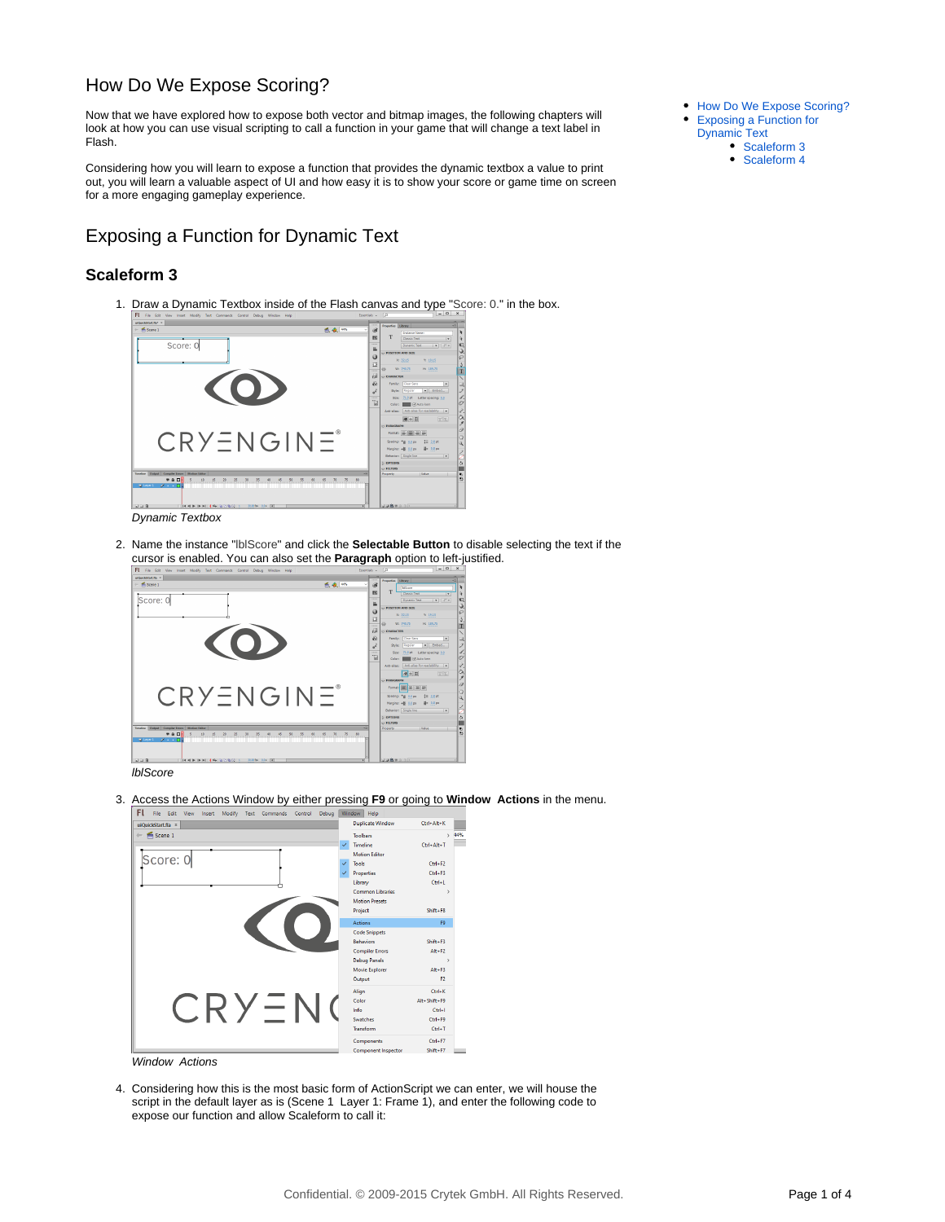## <span id="page-0-0"></span>How Do We Expose Scoring?

Now that we have explored how to expose both vector and bitmap images, the following chapters will look at how you can use visual scripting to call a function in your game that will change a text label in Flash.

Considering how you will learn to expose a function that provides the dynamic textbox a value to print out, you will learn a valuable aspect of UI and how easy it is to show your score or game time on screen for a more engaging gameplay experience.

<span id="page-0-1"></span>Exposing a Function for Dynamic Text

### <span id="page-0-2"></span>**Scaleform 3**

1. Draw a Dynamic Textbox inside of the Flash canvas and type "Score: 0." in the box.



2. Name the instance "lblScore" and click the **Selectable Button** to disable selecting the text if the cursor is enabled. You can also set the **Paragraph** option to left-justified.



3. Access the Actions Window by either pressing **F9** or going to **Window Actions** in the menu. FL File Fdi



Window Actions

4. Considering how this is the most basic form of ActionScript we can enter, we will house the script in the default layer as is (Scene 1 Layer 1: Frame 1), and enter the following code to expose our function and allow Scaleform to call it:

- $\bullet$ [How Do We Expose Scoring?](#page-0-0)
- [Exposing a Function for](#page-0-1)  [Dynamic Text](#page-0-1)
- [Scaleform 3](#page-0-2)
	- [Scaleform 4](#page-1-0)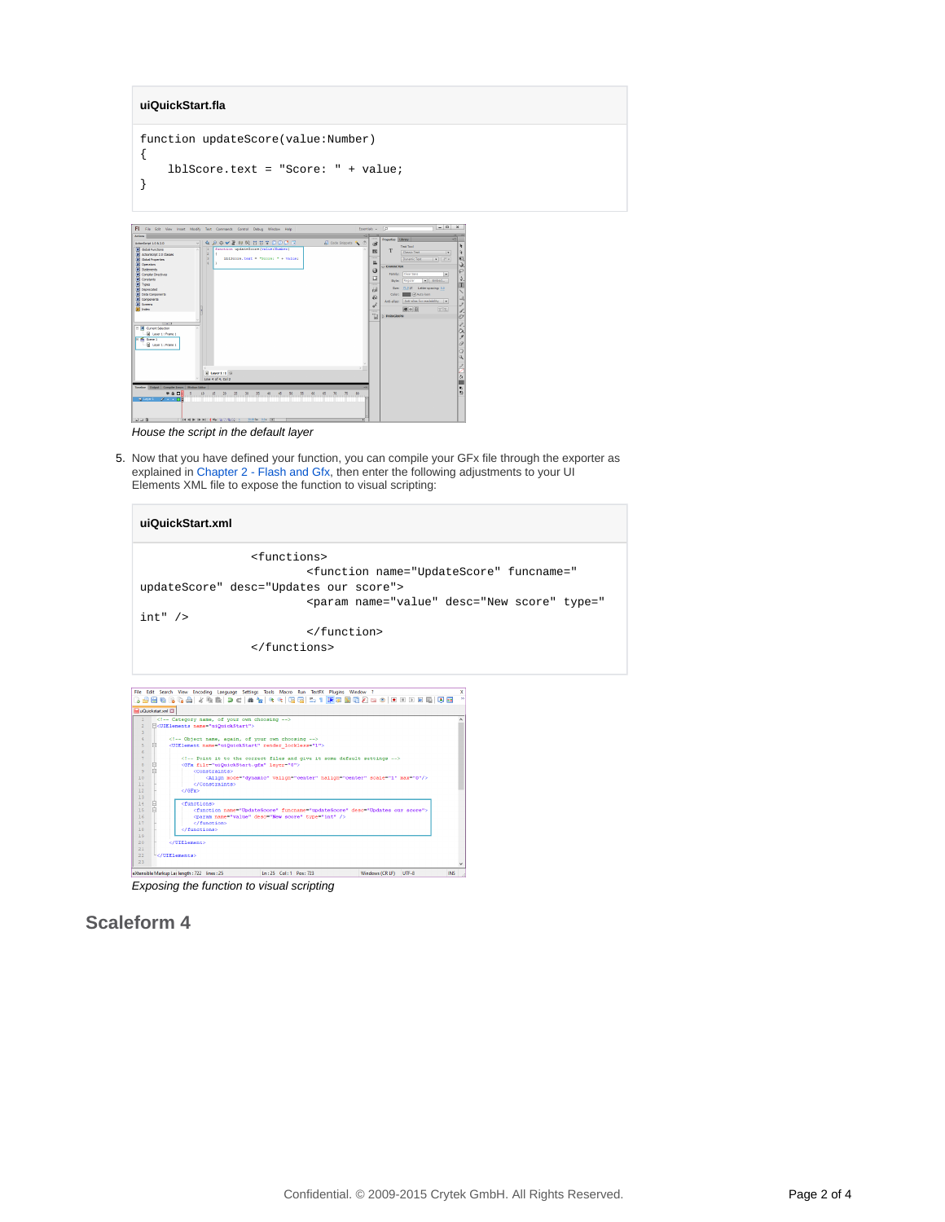#### **uiQuickStart.fla**

```
function updateScore(value:Number)
{
     lblScore.text = "Score: " + value;
}
```


House the script in the default layer

5. Now that you have defined your function, you can compile your GFx file through the exporter as explained in [Chapter 2 - Flash and Gfx,](https://docs.cryengine.com/display/CEMANUAL/Chapter+2+-+Flash+and+Gfx) then enter the following adjustments to your UI Elements XML file to expose the function to visual scripting:

| uiQuickStart.xml                                                                                                                   |
|------------------------------------------------------------------------------------------------------------------------------------|
| <functions></functions>                                                                                                            |
| <function desc="Updates our score" funcname="&lt;/td&gt;&lt;/tr&gt;&lt;tr&gt;&lt;td&gt;updateScore" name="UpdateScore"></function> |
| <param <="" desc="New score" name="value" td="" type="&lt;/td&gt;&lt;/tr&gt;&lt;tr&gt;&lt;td&gt;int"/>                             |
|                                                                                                                                    |
|                                                                                                                                    |



Exposing the function to visual scripting

# <span id="page-1-0"></span>**Scaleform 4**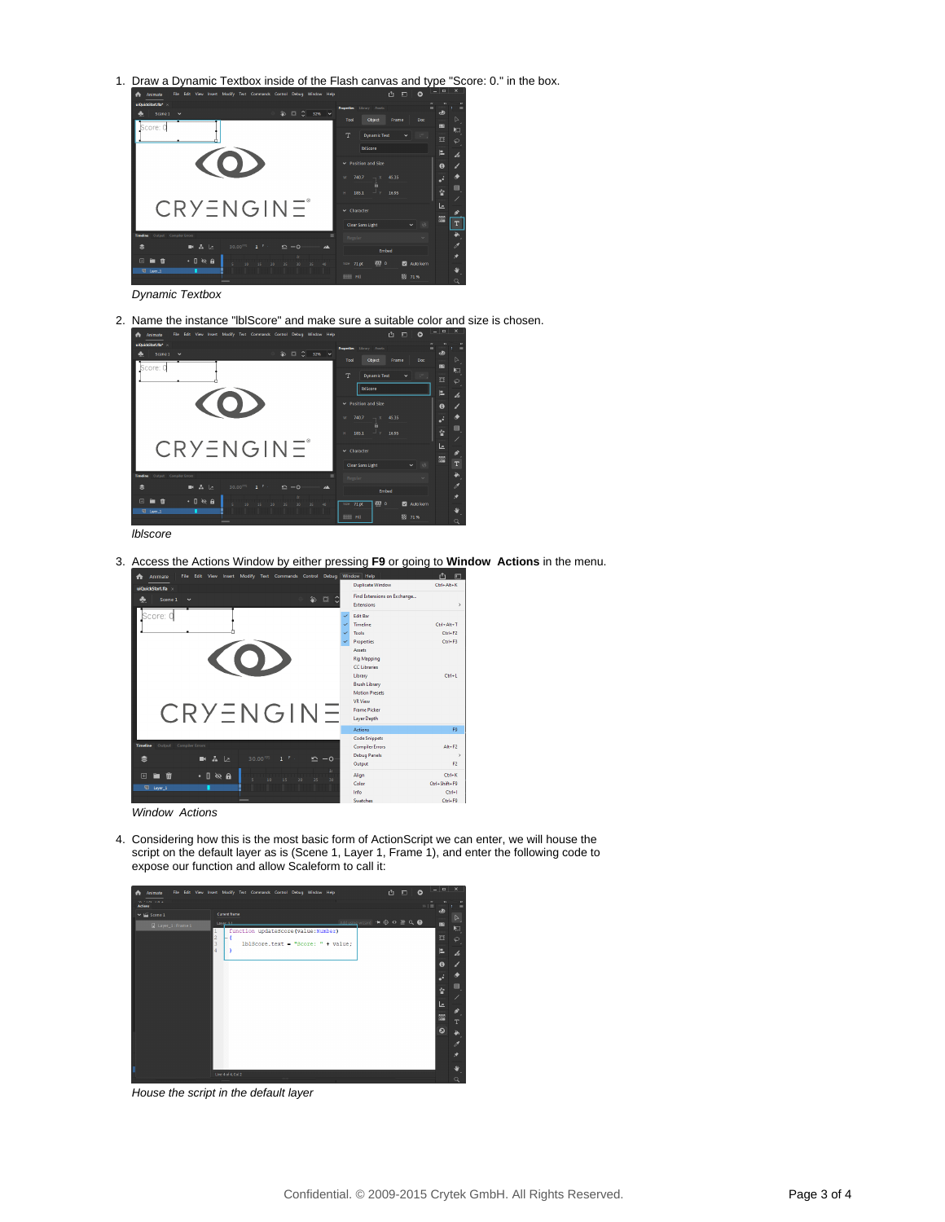1. Draw a Dynamic Textbox inside of the Flash canvas and type "Score: 0." in the box.



Dynamic Textbox

2. Name the instance "lblScore" and make sure a suitable color and size is chosen.



lblscore

3. Access the Actions Window by either pressing **F9** or going to **Window Actions** in the menu.



Window Actions

4. Considering how this is the most basic form of ActionScript we can enter, we will house the script on the default layer as is (Scene 1, Layer 1, Frame 1), and enter the following code to expose our function and allow Scaleform to call it:



House the script in the default layer